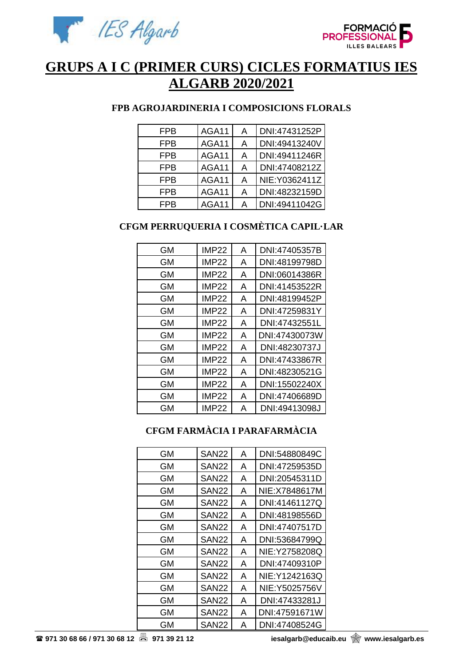



# **GRUPS A I C (PRIMER CURS) CICLES FORMATIUS IES ALGARB 2020/2021**

### **FPB AGROJARDINERIA I COMPOSICIONS FLORALS**

| <b>FPB</b> | AGA11 | A | DNI:47431252P  |
|------------|-------|---|----------------|
| <b>FPB</b> | AGA11 | A | DNI:49413240V  |
| <b>FPB</b> | AGA11 | A | DNI:49411246R  |
| <b>FPB</b> | AGA11 | A | DNI:47408212Z  |
| FPB        | AGA11 | A | NIE: Y0362411Z |
| <b>FPB</b> | AGA11 | A | DNI:48232159D  |
| <b>FPB</b> | AGA11 | А | DNI:49411042G  |

# **CFGM PERRUQUERIA I COSMÈTICA CAPIL·LAR**

| <b>GM</b> | <b>IMP22</b> | A | DNI:47405357B |
|-----------|--------------|---|---------------|
| GМ        | <b>IMP22</b> | Α | DNI:48199798D |
| GМ        | <b>IMP22</b> | A | DNI:06014386R |
| <b>GM</b> | <b>IMP22</b> | A | DNI:41453522R |
| GМ        | <b>IMP22</b> | Α | DNI:48199452P |
| GМ        | <b>IMP22</b> | A | DNI:47259831Y |
| <b>GM</b> | <b>IMP22</b> | A | DNI:47432551L |
| GМ        | <b>IMP22</b> | A | DNI:47430073W |
| GМ        | <b>IMP22</b> | A | DNI:48230737J |
| <b>GM</b> | <b>IMP22</b> | A | DNI:47433867R |
| <b>GM</b> | <b>IMP22</b> | A | DNI:48230521G |
| GМ        | <b>IMP22</b> | A | DNI:15502240X |
| <b>GM</b> | <b>IMP22</b> | A | DNI:47406689D |
| GM        | <b>IMP22</b> | Α | DNI:49413098J |

# **CFGM FARMÀCIA I PARAFARMÀCIA**

| GМ | SAN22        | A | DNI:54880849C  |
|----|--------------|---|----------------|
| GМ | <b>SAN22</b> | A | DNI:47259535D  |
| GМ | SAN22        | A | DNI:20545311D  |
| GМ | SAN22        | A | NIE: X7848617M |
| GМ | SAN22        | A | DNI:41461127Q  |
| GМ | SAN22        | A | DNI:48198556D  |
| GМ | SAN22        | A | DNI:47407517D  |
| GМ | <b>SAN22</b> | A | DNI:53684799Q  |
| GМ | SAN22        | A | NIE: Y2758208Q |
| GM | <b>SAN22</b> | A | DNI:47409310P  |
| GМ | SAN22        | A | NIE: Y1242163Q |
| GМ | <b>SAN22</b> | A | NIE: Y5025756V |
| GМ | <b>SAN22</b> | A | DNI:47433281J  |
| GМ | <b>SAN22</b> | A | DNI:47591671W  |
| GМ | <b>SAN22</b> | А | DNI:47408524G  |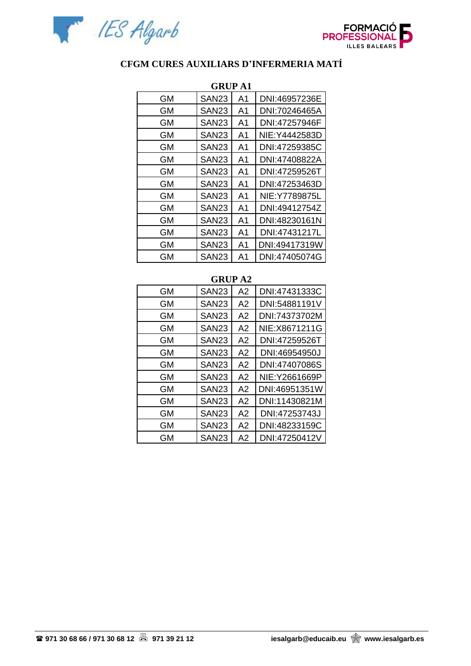



# **CFGM CURES AUXILIARS D'INFERMERIA MATÍ**

| <b>GRUP A1</b> |                   |    |                |  |
|----------------|-------------------|----|----------------|--|
| GМ             | SAN <sub>23</sub> | A1 | DNI:46957236E  |  |
| GМ             | SAN23             | A1 | DNI:70246465A  |  |
| GМ             | SAN <sub>23</sub> | A1 | DNI:47257946F  |  |
| GМ             | SAN23             | A1 | NIE: Y4442583D |  |
| <b>GM</b>      | SAN <sub>23</sub> | A1 | DNI:47259385C  |  |
| GМ             | SAN <sub>23</sub> | A1 | DNI:47408822A  |  |
| <b>GM</b>      | SAN <sub>23</sub> | A1 | DNI:47259526T  |  |
| GМ             | SAN23             | A1 | DNI:47253463D  |  |
| GМ             | SAN <sub>23</sub> | A1 | NIE:Y7789875L  |  |
| GМ             | SAN23             | A1 | DNI:49412754Z  |  |
| GМ             | SAN <sub>23</sub> | A1 | DNI:48230161N  |  |
| GМ             | SAN <sub>23</sub> | A1 | DNI:47431217L  |  |
| GМ             | SAN <sub>23</sub> | A1 | DNI:49417319W  |  |
| GМ             | SAN <sub>23</sub> | A1 | DNI:47405074G  |  |

#### **GRUP A2**

| GМ | SAN <sub>23</sub> | A2 | DNI:47431333C  |
|----|-------------------|----|----------------|
| GМ | SAN <sub>23</sub> | A2 | DNI:54881191V  |
| GМ | SAN <sub>23</sub> | A2 | DNI:74373702M  |
| GМ | <b>SAN23</b>      | A2 | NIE: X8671211G |
| GМ | SAN <sub>23</sub> | A2 | DNI:47259526T  |
| GМ | SAN <sub>23</sub> | A2 | DNI:46954950J  |
| GМ | SAN <sub>23</sub> | A2 | DNI:47407086S  |
| GМ | SAN <sub>23</sub> | A2 | NIE: Y2661669P |
| GМ | SAN <sub>23</sub> | A2 | DNI:46951351W  |
| GМ | SAN <sub>23</sub> | A2 | DNI:11430821M  |
| GМ | SAN <sub>23</sub> | A2 | DNI:47253743J  |
| GМ | <b>SAN23</b>      | A2 | DNI:48233159C  |
| GМ | SAN <sub>23</sub> | A2 | DNI:47250412V  |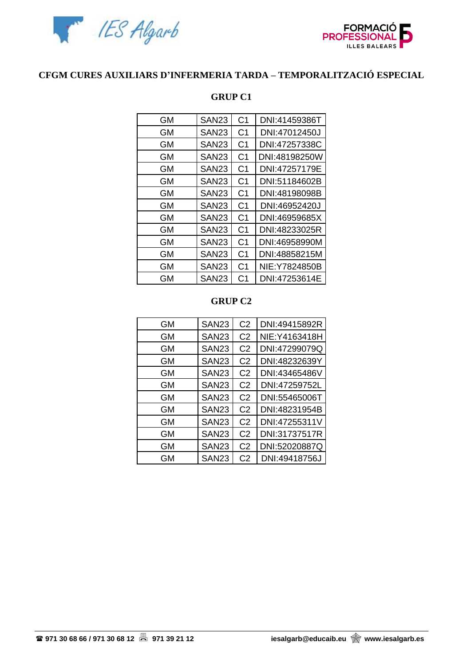



### **CFGM CURES AUXILIARS D'INFERMERIA TARDA – TEMPORALITZACIÓ ESPECIAL**

| <b>GM</b> | <b>SAN23</b>      | C <sub>1</sub> | DNI:41459386T  |
|-----------|-------------------|----------------|----------------|
| GМ        | SAN <sub>23</sub> | C <sub>1</sub> | DNI:47012450J  |
| GМ        | SAN23             | C <sub>1</sub> | DNI:47257338C  |
| GМ        | SAN23             | C1             | DNI:48198250W  |
| GМ        | <b>SAN23</b>      | C <sub>1</sub> | DNI:47257179E  |
| GМ        | SAN <sub>23</sub> | C <sub>1</sub> | DNI:51184602B  |
| GМ        | <b>SAN23</b>      | C <sub>1</sub> | DNI:48198098B  |
| GМ        | <b>SAN23</b>      | C <sub>1</sub> | DNI:46952420J  |
| GМ        | SAN23             | C1             | DNI:46959685X  |
| <b>GM</b> | SAN <sub>23</sub> | C <sub>1</sub> | DNI:48233025R  |
| GМ        | SAN <sub>23</sub> | C <sub>1</sub> | DNI:46958990M  |
| GМ        | SAN23             | C <sub>1</sub> | DNI:48858215M  |
| GМ        | SAN23             | C <sub>1</sub> | NIE: Y7824850B |
| GМ        | SAN <sub>23</sub> | C <sub>1</sub> | DNI:47253614E  |

#### **GRUP C1**

### **GRUP C2**

| GМ | SAN <sub>23</sub> | C <sub>2</sub> | DNI:49415892R  |
|----|-------------------|----------------|----------------|
| GМ | SAN <sub>23</sub> | C <sub>2</sub> | NIE: Y4163418H |
| GМ | <b>SAN23</b>      | C <sub>2</sub> | DNI:47299079Q  |
| GМ | SAN <sub>23</sub> | C <sub>2</sub> | DNI:48232639Y  |
| GМ | SAN <sub>23</sub> | C <sub>2</sub> | DNI:43465486V  |
| GМ | SAN <sub>23</sub> | C <sub>2</sub> | DNI:47259752L  |
| GМ | SAN <sub>23</sub> | C <sub>2</sub> | DNI:55465006T  |
| GМ | SAN <sub>23</sub> | C <sub>2</sub> | DNI:48231954B  |
| GМ | SAN <sub>23</sub> | C <sub>2</sub> | DNI:47255311V  |
| GМ | SAN <sub>23</sub> | C <sub>2</sub> | DNI:31737517R  |
| GМ | SAN <sub>23</sub> | C <sub>2</sub> | DNI:52020887Q  |
| GМ | SAN <sub>23</sub> | C <sub>2</sub> | DNI:49418756J  |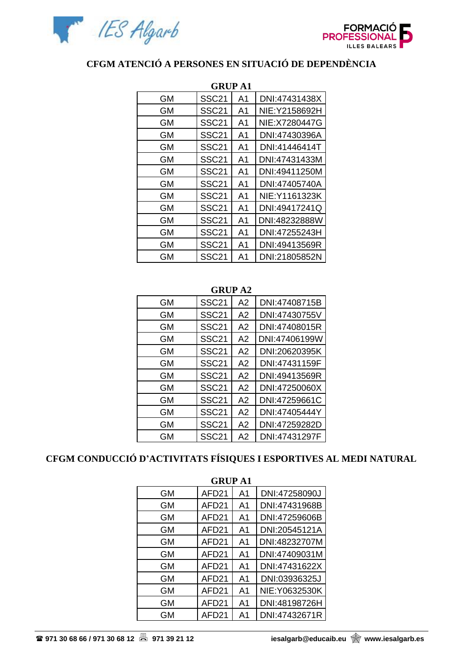



# **CFGM ATENCIÓ A PERSONES EN SITUACIÓ DE DEPENDÈNCIA**

| GRUP A1   |                   |                |                |  |
|-----------|-------------------|----------------|----------------|--|
| <b>GM</b> | SSC <sub>21</sub> | A1             | DNI:47431438X  |  |
| GМ        | SSC <sub>21</sub> | A1             | NIE: Y2158692H |  |
| <b>GM</b> | <b>SSC21</b>      | A1             | NIE: X7280447G |  |
| <b>GM</b> | <b>SSC21</b>      | A <sub>1</sub> | DNI:47430396A  |  |
| GМ        | SSC <sub>21</sub> | A1             | DNI:41446414T  |  |
| <b>GM</b> | SSC <sub>21</sub> | A <sub>1</sub> | DNI:47431433M  |  |
| <b>GM</b> | <b>SSC21</b>      | A <sub>1</sub> | DNI:49411250M  |  |
| GМ        | SSC <sub>21</sub> | A <sub>1</sub> | DNI:47405740A  |  |
| <b>GM</b> | SSC <sub>21</sub> | A <sub>1</sub> | NIE: Y1161323K |  |
| <b>GM</b> | SSC <sub>21</sub> | A1             | DNI:49417241Q  |  |
| GМ        | <b>SSC21</b>      | A1             | DNI:48232888W  |  |
| GМ        | <b>SSC21</b>      | A1             | DNI:47255243H  |  |
| <b>GM</b> | <b>SSC21</b>      | A <sub>1</sub> | DNI:49413569R  |  |
| GМ        | SSC <sub>21</sub> | A1             | DNI:21805852N  |  |

# $CDID$   $A1$

#### **GRUP A2**

| <b>GM</b> | <b>SSC21</b>      | A2 | DNI:47408715B |
|-----------|-------------------|----|---------------|
| <b>GM</b> | <b>SSC21</b>      | A2 | DNI:47430755V |
| GМ        | <b>SSC21</b>      | A2 | DNI:47408015R |
| GМ        | <b>SSC21</b>      | A2 | DNI:47406199W |
| GМ        | <b>SSC21</b>      | A2 | DNI:20620395K |
| GМ        | <b>SSC21</b>      | A2 | DNI:47431159F |
| GМ        | SSC <sub>21</sub> | A2 | DNI:49413569R |
| GМ        | SSC <sub>21</sub> | A2 | DNI:47250060X |
| GМ        | <b>SSC21</b>      | A2 | DNI:47259661C |
| GМ        | <b>SSC21</b>      | A2 | DNI:47405444Y |
| <b>GM</b> | <b>SSC21</b>      | A2 | DNI:47259282D |
| <b>GM</b> | <b>SSC21</b>      | A2 | DNI:47431297F |

# **CFGM CONDUCCIÓ D'ACTIVITATS FÍSIQUES I ESPORTIVES AL MEDI NATURAL**

| <b>GRUP A1</b> |                   |    |                |  |  |
|----------------|-------------------|----|----------------|--|--|
| GМ             | AFD <sub>21</sub> | A1 | DNI:47258090J  |  |  |
| GМ             | AFD21             | A1 | DNI:47431968B  |  |  |
| GМ             | AFD <sub>21</sub> | A1 | DNI:47259606B  |  |  |
| GМ             | AFD21             | A1 | DNI:20545121A  |  |  |
| GМ             | AFD <sub>21</sub> | A1 | DNI:48232707M  |  |  |
| <b>GM</b>      | AFD <sub>21</sub> | A1 | DNI:47409031M  |  |  |
| GМ             | AFD <sub>21</sub> | A1 | DNI:47431622X  |  |  |
| GМ             | AFD21             | A1 | DNI:03936325J  |  |  |
| GМ             | AFD21             | A1 | NIE: Y0632530K |  |  |
| GМ             | AFD21             | A1 | DNI:48198726H  |  |  |
| GМ             | AFD <sub>21</sub> | A1 | DNI:47432671R  |  |  |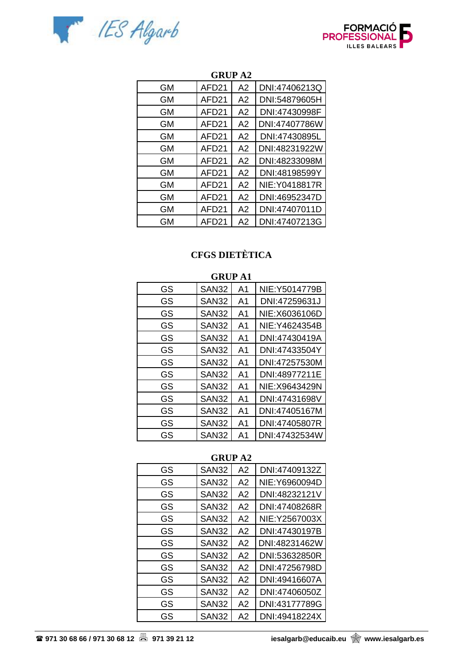



| <b>GM</b> | AFD <sub>21</sub> | A <sub>2</sub> | DNI:47406213Q  |
|-----------|-------------------|----------------|----------------|
| <b>GM</b> | AFD <sub>21</sub> | A2             | DNI:54879605H  |
| GМ        | AFD <sub>21</sub> | A2             | DNI:47430998F  |
| GM        | AFD21             | A2             | DNI:47407786W  |
| GМ        | AFD <sub>21</sub> | A <sub>2</sub> | DNI:47430895L  |
| GM        | AFD <sub>21</sub> | A2             | DNI:48231922W  |
| GМ        | AFD <sub>21</sub> | A2             | DNI:48233098M  |
| GМ        | AFD <sub>21</sub> | A2             | DNI:48198599Y  |
| GМ        | AFD <sub>21</sub> | A2             | NIE: Y0418817R |
| <b>GM</b> | AFD <sub>21</sub> | A2             | DNI:46952347D  |
| <b>GM</b> | AFD <sub>21</sub> | A2             | DNI:47407011D  |
| GM        | AFD <sub>21</sub> | A <sub>2</sub> | DNI:47407213G  |

### **GRUP A2**

# **CFGS DIETÈTICA**

|           | <b>GRUP A1</b> |                |                |  |  |
|-----------|----------------|----------------|----------------|--|--|
| GS        | SAN32          | A1             | NIE: Y5014779B |  |  |
| GS        | SAN32          | A <sub>1</sub> | DNI:47259631J  |  |  |
| GS        | SAN32          | A <sub>1</sub> | NIE: X6036106D |  |  |
| GS        | <b>SAN32</b>   | A1             | NIE: Y4624354B |  |  |
| GS        | SAN32          | A1             | DNI:47430419A  |  |  |
| GS        | SAN32          | A <sub>1</sub> | DNI:47433504Y  |  |  |
| GS        | SAN32          | A <sub>1</sub> | DNI:47257530M  |  |  |
| <b>GS</b> | SAN32          | A <sub>1</sub> | DNI:48977211E  |  |  |
| GS        | SAN32          | A <sub>1</sub> | NIE: X9643429N |  |  |
| GS        | SAN32          | A <sub>1</sub> | DNI:47431698V  |  |  |
| GS        | SAN32          | A <sub>1</sub> | DNI:47405167M  |  |  |
| GS        | <b>SAN32</b>   | A <sub>1</sub> | DNI:47405807R  |  |  |
| GS        | SAN32          | A <sub>1</sub> | DNI:47432534W  |  |  |

### **GRUP A2**

| GS | SAN32             | A2             | DNI:47409132Z  |
|----|-------------------|----------------|----------------|
| GS | <b>SAN32</b>      | A2             | NIE: Y6960094D |
| GS | SAN <sub>32</sub> | A2             | DNI:48232121V  |
| GS | SAN <sub>32</sub> | A2             | DNI:47408268R  |
| GS | SAN <sub>32</sub> | A2             | NIE: Y2567003X |
| GS | SAN <sub>32</sub> | A2             | DNI:47430197B  |
| GS | SAN <sub>32</sub> | A2             | DNI:48231462W  |
| GS | SAN <sub>32</sub> | A2             | DNI:53632850R  |
| GS | SAN <sub>32</sub> | A2             | DNI:47256798D  |
| GS | SAN <sub>32</sub> | A2             | DNI:49416607A  |
| GS | SAN <sub>32</sub> | A2             | DNI:47406050Z  |
| GS | <b>SAN32</b>      | A2             | DNI:43177789G  |
| GS | <b>SAN32</b>      | A <sub>2</sub> | DNI:49418224X  |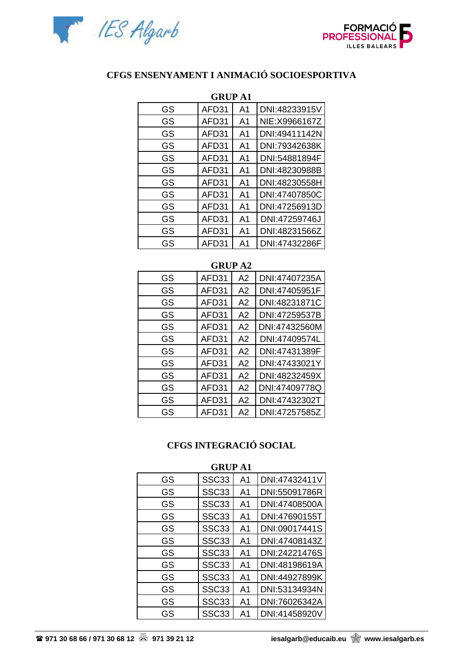



## **CFGS ENSENYAMENT I ANIMACIÓ SOCIOESPORTIVA**

| <b>GRUP A1</b> |       |                |                |
|----------------|-------|----------------|----------------|
| GS             | AFD31 | A <sub>1</sub> | DNI:48233915V  |
| GS             | AFD31 | A1             | NIE: X9966167Z |
| GS             | AFD31 | A1             | DNI:49411142N  |
| GS             | AFD31 | A1             | DNI:79342638K  |
| GS             | AFD31 | A1             | DNI:54881894F  |
| GS             | AFD31 | A <sub>1</sub> | DNI:48230988B  |
| GS             | AFD31 | A <sub>1</sub> | DNI:48230558H  |
| GS             | AFD31 | A1             | DNI:47407850C  |
| GS             | AFD31 | A1             | DNI:47256913D  |
| GS             | AFD31 | A <sub>1</sub> | DNI:47259746J  |
| GS             | AFD31 | A1             | DNI:48231566Z  |
| GS             | AFD31 | A1             | DNI:47432286F  |

### **GRUP A2**

| GS | AFD31 | A2             | DNI:47407235A |
|----|-------|----------------|---------------|
| GS | AFD31 | A2             | DNI:47405951F |
| GS | AFD31 | A2             | DNI:48231871C |
| GS | AFD31 | A2             | DNI:47259537B |
| GS | AFD31 | A2             | DNI:47432560M |
| GS | AFD31 | A2             | DNI:47409574L |
| GS | AFD31 | A <sub>2</sub> | DNI:47431389F |
| GS | AFD31 | A2             | DNI:47433021Y |
| GS | AFD31 | A2             | DNI:48232459X |
| GS | AFD31 | A2             | DNI:47409778Q |
| GS | AFD31 | A2             | DNI:47432302T |
| GS | AFD31 | A2             | DNI:47257585Z |

### **CFGS INTEGRACIÓ SOCIAL**

| unv<br>$\mathbf{L}$ |                   |                |               |
|---------------------|-------------------|----------------|---------------|
| GS                  | SSC <sub>33</sub> | A1             | DNI:47432411V |
| GS                  | SSC <sub>33</sub> | A1             | DNI:55091786R |
| GS                  | SSC <sub>33</sub> | A <sub>1</sub> | DNI:47408500A |
| GS                  | SSC <sub>33</sub> | A1             | DNI:47690155T |
| GS                  | SSC <sub>33</sub> | A1             | DNI:09017441S |
| GS                  | SSC <sub>33</sub> | A1             | DNI:47408143Z |
| GS                  | SSC <sub>33</sub> | A1             | DNI:24221476S |
| GS                  | SSC <sub>33</sub> | A <sub>1</sub> | DNI:48198619A |
| GS                  | SSC <sub>33</sub> | A <sub>1</sub> | DNI:44927899K |
| GS                  | SSC33             | A <sub>1</sub> | DNI:53134934N |
| GS                  | SSC33             | A <sub>1</sub> | DNI:76026342A |
| GS                  | SSC33             | A <sub>1</sub> | DNI:41458920V |

### **GRUP A1**